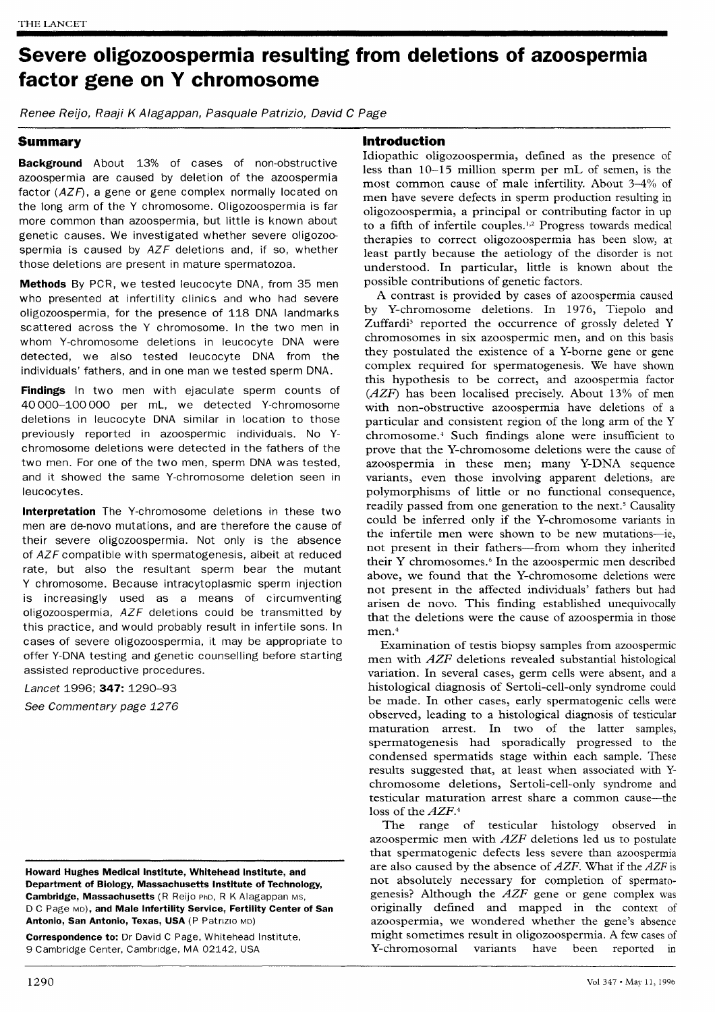# Severe oligozoospermia resulting from deletions of azoospermia factor gene on Y chromosome

Renee Reijo, Raaji K Alagappan, Pasquale Patrizio, David C Page

# Summary

Background About 13% of cases of non-obstructive azoospermia are caused by deletion of the azoospermia factor (AZF), a gene or gene complex normally located on the long arm of the Y chromosome. Oligozoospermia is far more common than azoospermia, but little is known about genetic causes. We investigated whether severe oligozoospermia is caused by AZF deletions and, if so, whether those deletions are present in mature spermatozoa.

Methods By PCR, we tested leucocyte DNA, from 35 men who presented at infertility clinics and who had severe oligozoospermia, for the presence of 118 DNA landmarks scattered across the Y chromosome. In the two men in whom Y-chromosome deletions in leucocyte DNA were detected, we also tested leucocyte DNA from the individuals' fathers, and in one man we tested sperm DNA.

Findings In two men with ejaculate sperm counts of 40 000-100 000 per mL, we detected Y-chromosome deletions in leucocyte DNA similar in location to those previously reported in azoospermic individuals. No Ychromosome deletions were detected in the fathers of the two men. For one of the two men, sperm DNA was tested, and it showed the same Y-chromosome deletion seen in leucocytes.

Interpretation The Y-chromosome deletions in these two men are de-novo mutations, and are therefore the cause of their severe oligozoospermia. Not only is the absence of AZF compatible with spermatogenesis, albeit at reduced rate, but also the resultant sperm bear the mutant Y chromosome. Because intracytoplasmic sperm injection is increasingly used as a means of circumventing oligozoospermia, AZF deletions could be transmitted by this practice, and would probably result in infertile sons. In cases of severe oligozoospermia, it may be appropriate to offer Y-DNA testing and genetic counselling before starting assisted reproductive procedures.

Lancet 1996; 347: 1290-93 See Commentary page 1276

Howard Hughes Medical Institute, Whitehead Institute, and Department of Biology, Massachusetts Institute of Technology, Cambridge, Massachusetts (R Reijo PhD, R K Alagappan MS, D C Page MD), and Male Infertility Service, Fertility Center of San Antonio, San Antonio, Texas, USA (P Patrizio MD)

Correspondence to: Dr David C Page, Whitehead Institute, 9 Cambridge Center, Cambridge, MA 02142, USA

## Introduction

Idiopathic oligozoospermia, defined as the presence of less than 10-15 million sperm per mL of semen, is the most common cause of male infertility. About 3-4% of men have severe defects in sperm production resulting in oligozoospermia, a principal or contributing factor in up to a fifth of infertile couples.<sup>1,2</sup> Progress towards medical therapies to correct oligozoospermia has been slow, at least partly because the aetiology of the disorder is not understood. In particular, little is known about the possible contributions of genetic factors.

A contrast is provided by cases of azoospermia caused by Y-chromosome deletions. In 1976, Tiepolo and Zuffardi<sup>3</sup> reported the occurrence of grossly deleted Y chromosomes in six azoospermic men, and on this basis they postulated the existence of a Y-borne gene or gene complex required for spermatogenesis. We have shown this hypothesis to be correct, and azoospermia factor (AZF) has been localised precisely. About 13% of men with non-obstructive azoospermia have deletions of a particular and consistent region of the long arm of the Y chromosome .4 Such findings alone were insufficient to prove that the Y-chromosome deletions were the cause of azoospermia in these men; many Y-DNA sequence variants, even those involving apparent deletions, are polymorphisms of little or no functional consequence, readily passed from one generation to the next.<sup>5</sup> Causality could be inferred only if the Y-chromosome variants in the infertile men were shown to be new mutations---ie, not present in their fathers-from whom they inherited their Y chromosomes.<sup>6</sup> In the azoospermic men described above, we found that the Y-chromosome deletions were not present in the affected individuals' fathers but had arisen de novo. This finding established unequivocally that the deletions were the cause of azoospermia in those men.<sup>4</sup>

Examination of testis biopsy samples from azoospermic men with AZF deletions revealed substantial histological variation. In several cases, germ cells were absent, and a histological diagnosis of Sertoli-cell-only syndrome could be made. In other cases, early spermatogenic cells were observed, leading to a histological diagnosis of testicular maturation arrest. In two of the latter samples, spermatogenesis had sporadically progressed to the condensed spermatids stage within each sample. These results suggested that, at least when associated with Ychromosome deletions, Sertoli-cell-only syndrome and testicular maturation arrest share a common cause-the loss of the  $AZF$ .<sup>4</sup>

The range of testicular histology observed in azoospermic men with  $AZF$  deletions led us to postulate that spermatogenic defects less severe than azoospermia are also caused by the absence of  $AZF$ . What if the  $AZF$  is not absolutely necessary for completion of spermatogenesis? Although the  $AZF$  gene or gene complex was originally defined and mapped in the context of azoospermia, we wondered whether the gene's absence might sometimes result in oligozoospermia. A few cases of Y-chromosomal variants have been reported in been reported in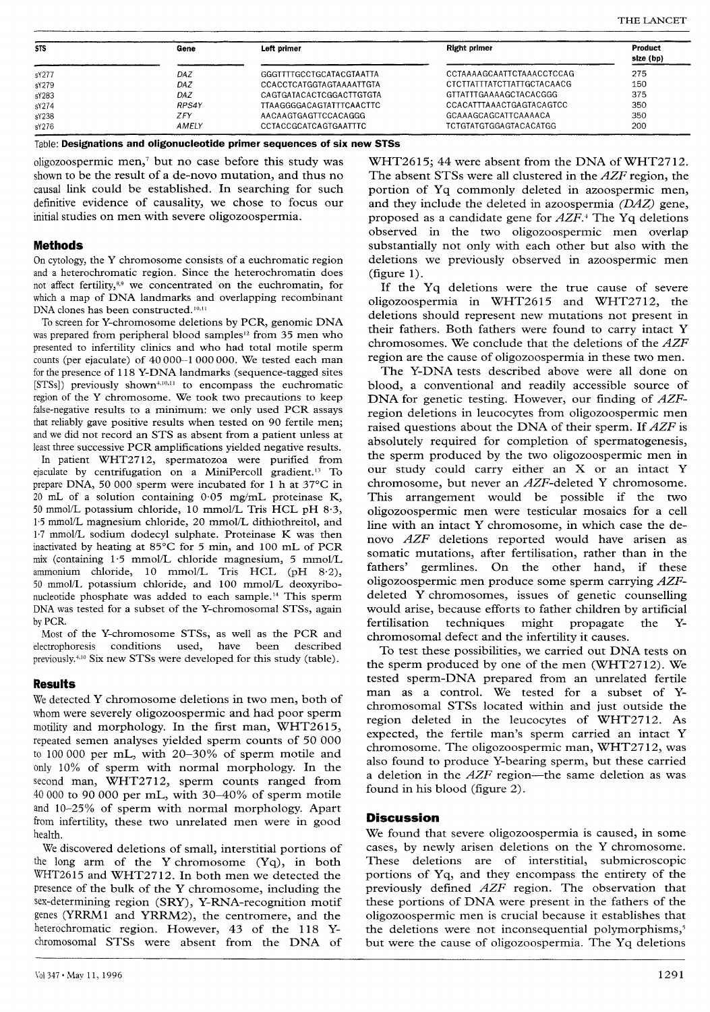| <b>STS</b> | Gene         | Left primer                  | <b>Right primer</b>        | Product<br>size (bp) |
|------------|--------------|------------------------------|----------------------------|----------------------|
| sY277      | DAZ          | GGGTTTTGCCTGCATACGTAATTA     | CCTAAAAGCAATTCTAAACCTCCAG  | 275                  |
| sY279      | <b>DAZ</b>   | CCACCTCATGGTAGTAAAATTGTA     | CTCTTATTTATCTTATTGCTACAACG | 150                  |
| sY283      | DAZ          | CAGTGATACACTCGGACTTGTGTA     | GTTATTTGAAAAGCTACACGGG     | 375                  |
| sY274      | <b>RPS4Y</b> | TTAAGGGGACAGTATTTCAACTTC     | CCACATTTAAACTGAGTACAGTCC   | 350                  |
| sY238      | ZFY          | AACAAGTGAGTTCCACAGGG         | GCAAAGCAGCATTCAAAACA       | 350                  |
| sY276      | AMELY        | <b>CCTACCGCATCAGTGAATTTC</b> | TCTGTATGTGGAGTACACATGG     | 200                  |

Table: Designations and oligonucleotide primer sequences of six new STSs

oligozoospermic men,' but no case before this study was shown to be the result of a de-novo mutation, and thus no causal link could be established. In searching for such definitive evidence of causality, we chose to focus our initial studies on men with severe oligozoospermia.

#### Methods

On cytology, the Y chromosome consists of a euchromatic region and a heterochromatic region. Since the heterochromatin does not affect fertility,<sup>8,9</sup> we concentrated on the euchromatin, for which a map of DNA landmarks and overlapping recombinant DNA clones has been constructed.<sup>10,11</sup>

To screen for Y-chromosome deletions by PCR, genomic DNA was prepared from peripheral blood samples<sup>12</sup> from 35 men who presented to infertility clinics and who had total motile sperm counts (per ejaculate) of 40 000-1 000 000. We tested each man for the presence of 118 Y-DNA landmarks (sequence-tagged sites [STSs]) previously shown<sup>4,10,11</sup> to encompass the euchromatic region of the Y chromosome. We took two precautions to keep false-negative results to a minimum: we only used PCR assays that reliably gave positive results when tested on 90 fertile men; and we did not record an STS as absent from a patient unless at least three successive PCR amplifications yielded negative results.

In patient WHT2712, spermatozoa were purified from ejaculate by centrifugation on a MiniPercoll gradient.<sup>13</sup> To prepare DNA, 50 000 sperm were incubated for 1 h at 37°C in 20 mL of a solution containing  $0.05$  mg/mL proteinase K, 50 mmol/L potassium chloride, 10 mmol/L Tris HCL pH 8-3, 1-5 mmol/L magnesium chloride, 20 mmol/L dithiothreitol, and 1'7 mmol/L sodium dodecyl sulphate. Proteinase K was then inactivated by heating at 85°C for 5 min, and 100 mL of PCR mix (containing 1-5 mmol/L chloride magnesium, 5 mmol/L ammonium chloride, 10 mmol/L Tris HCL (pH 8.2), 50 mmol/L potassium chloride, and 100 mmol/L deoxyribonucleotide phosphate was added to each sample.'4 This sperm DNA was tested for a subset of the Y-chromosomal STSs, again by PCR.

Most of the Y-chromosome STSs, as well as the PCR and electrophoresis conditions used, have been described previously.<sup>4,10</sup> Six new STSs were developed for this study (table).

## Results

We detected Y chromosome deletions in two men, both of whom were severely oligozoospermic and had poor sperm motility and morphology. In the first man, WHT2615, repeated semen analyses yielded sperm counts of 50 000 to 100 000 per mL, with 20-30% of sperm motile and only 10% of sperm with normal morphology. In the second man, WHT2712, sperm counts ranged from 40 000 to 90 000 per mL, with 30-40% of sperm motile and 10-25% of sperm with normal morphology. Apart from infertility, these two unrelated men were in good health.

We discovered deletions of small, interstitial portions of the long arm of the Y chromosome (Yq), in both WHT2615 and WHT2712. In both men we detected the presence of the bulk of the Y chromosome, including the sex-determining region (SRY), Y-RNA-recognition motif genes (YRRM1 and YRRM2), the centromere, and the heterochromatic region. However, 43 of the 118 Ychromosomal STSs were absent from the DNA of

WHT2615; 44 were absent from the DNA of WHT2712. The absent STSs were all clustered in the AZF region, the portion of Yq commonly deleted in azoospermic men, and they include the deleted in azoospermia (DAZ) gene, proposed as a candidate gene for AZF.4 The Yq deletions observed in the two oligozoospermic men overlap substantially not only with each other but also with the deletions we previously observed in azoospermic men (figure 1).

If the Yq deletions were the true cause of severe oligozoospermia in WHT2615 and WHT2712, the deletions should represent new mutations not present in their fathers. Both fathers were found to carry intact Y chromosomes. We conclude that the deletions of the AZF region are the cause of oligozoospermia in these two men.

The Y-DNA tests described above were all done on blood, a conventional and readily accessible source of DNA for genetic testing. However, our finding of AZFregion deletions in leucocytes from oligozoospermic men raised questions about the DNA of their sperm. If AZF is absolutely required for completion of spermatogenesis, the sperm produced by the two oligozoospermic men in our study could carry either an X or an intact Y chromosome, but never an AZF-deleted Y chromosome. This arrangement would be possible if the two oligozoospermic men were testicular mosaics for a cell line with an intact Y chromosome, in which case the denovo AZF deletions reported would have arisen as somatic mutations, after fertilisation, rather than in the fathers' germlines. On the other hand, if these oligozoospermic men produce some sperm carrying AZFdeleted Y chromosomes, issues of genetic counselling would arise, because efforts to father children by artificial<br>fertilisation techniques might propagate the Ytechniques might propagate the chromosomal defect and the infertility it causes.

To test these possibilities, we carried out DNA tests on the sperm produced by one of the men (WHT2712). We tested sperm-DNA prepared from an unrelated fertile man as a control. We tested for a subset of Ychromosomal STSs located within and just outside the region deleted in the leucocytes of WHT2712. As expected, the fertile man's sperm carried an intact Y chromosome. The oligozoospermic man, WHT2712, was also found to produce Y-bearing sperm, but these carried a deletion in the  $AZF$  region-the same deletion as was found in his blood (figure 2).

## **Discussion**

We found that severe oligozoospermia is caused, in some cases, by newly arisen deletions on the Y chromosome. These deletions are of interstitial, submicroscopic portions of Yq, and they encompass the entirety of the previously defined AZF region. The observation that these portions of DNA were present in the fathers of the oligozoospermic men is crucial because it establishes that the deletions were not inconsequential polymorphisms,<sup>5</sup> but were the cause of oligozoospermia. The Yq deletions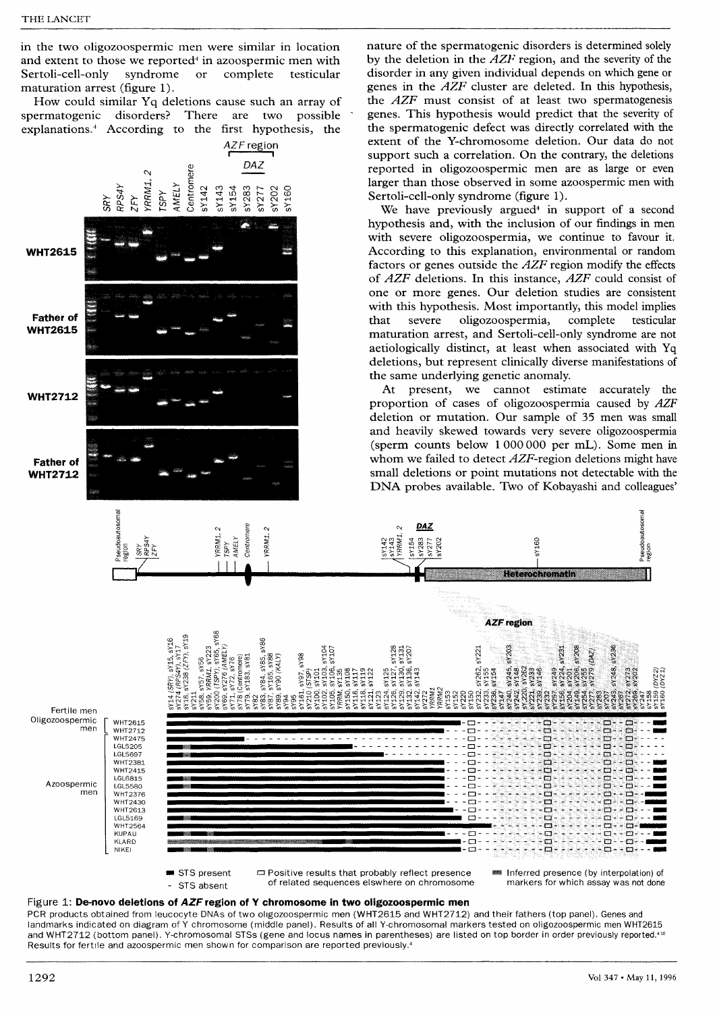in the two oligozoospermic men were similar in location and extent to those we reported<sup>4</sup> in azoospermic men with<br>Sertoli-cell-only syndrome or complete testicular Sertoli-cell-only maturation arrest (figure 1).

How could similar Yq deletions cause such an array of spermatogenic disorders? There are two possible explanations.<sup>4</sup> According to the first hypothesis, the



■ STS present STS absent

 $\Box$  Positive results that probably reflect presence of related sequences elswhere on chromosome **MEDIAN Inferred presence (by interpolation) of** markers for which assay was not done

 $\Box$ 

□

Ġ

Ò

Ò

m

 $\Box$ 

nature of the spermatogenic disorders is determined solely by the deletion in the AZF region, and the severity of the disorder in any given individual depends on which gene or genes in the  $\overline{AZF}$  cluster are deleted. In this hypothesis, the  $AZF$  must consist of at least two spermatogenesis genes. This hypothesis would predict that the severity of the spermatogenic defect was directly correlated with the

## Figure 1: De-novo deletions of AZF region of Y chromosome in two oligozoospermic men

PCR products obtained from leucocyte DNAs of two oligozoospermic men (WHT2615 and WHT2712) and their fathers (top panel). Genes and landmarks indicated on diagram of Y chromosome (middle panel). Results of all Y-chromosomal markers tested on oligozoospermic men WHT2615 and WHT2712 (bottom panel). Y-chromosomal STSs (gene and locus names in parentheses) are listed on top border in order previously reported.<sup>410</sup> Results for fertile and azoospermic men shown for comparison are reported previously.4